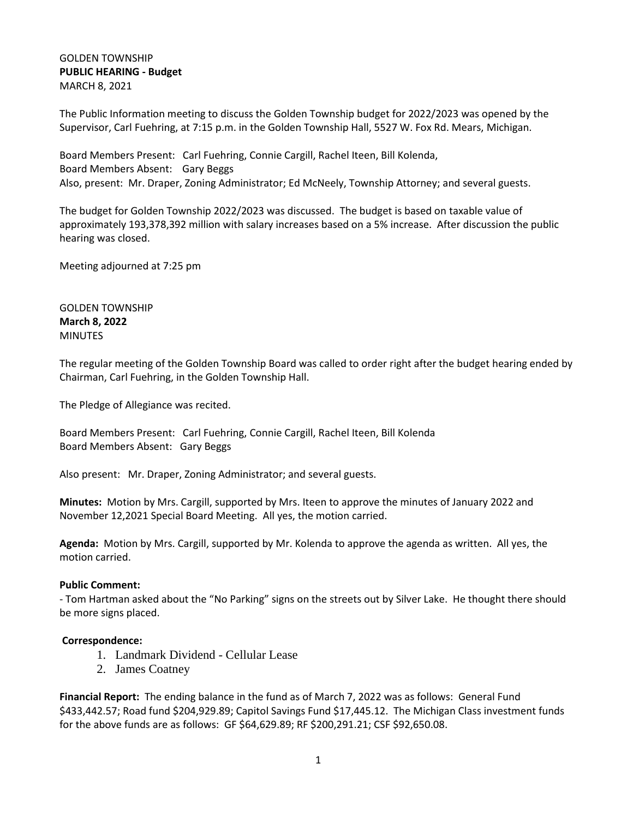### GOLDEN TOWNSHIP **PUBLIC HEARING - Budget** MARCH 8, 2021

The Public Information meeting to discuss the Golden Township budget for 2022/2023 was opened by the Supervisor, Carl Fuehring, at 7:15 p.m. in the Golden Township Hall, 5527 W. Fox Rd. Mears, Michigan.

Board Members Present: Carl Fuehring, Connie Cargill, Rachel Iteen, Bill Kolenda, Board Members Absent: Gary Beggs Also, present: Mr. Draper, Zoning Administrator; Ed McNeely, Township Attorney; and several guests.

The budget for Golden Township 2022/2023 was discussed. The budget is based on taxable value of approximately 193,378,392 million with salary increases based on a 5% increase. After discussion the public hearing was closed.

Meeting adjourned at 7:25 pm

GOLDEN TOWNSHIP **March 8, 2022** MINUTES

The regular meeting of the Golden Township Board was called to order right after the budget hearing ended by Chairman, Carl Fuehring, in the Golden Township Hall.

The Pledge of Allegiance was recited.

Board Members Present: Carl Fuehring, Connie Cargill, Rachel Iteen, Bill Kolenda Board Members Absent: Gary Beggs

Also present: Mr. Draper, Zoning Administrator; and several guests.

**Minutes:** Motion by Mrs. Cargill, supported by Mrs. Iteen to approve the minutes of January 2022 and November 12,2021 Special Board Meeting. All yes, the motion carried.

**Agenda:** Motion by Mrs. Cargill, supported by Mr. Kolenda to approve the agenda as written. All yes, the motion carried.

### **Public Comment:**

- Tom Hartman asked about the "No Parking" signs on the streets out by Silver Lake. He thought there should be more signs placed.

### **Correspondence:**

- 1. Landmark Dividend Cellular Lease
- 2. James Coatney

**Financial Report:** The ending balance in the fund as of March 7, 2022 was as follows: General Fund \$433,442.57; Road fund \$204,929.89; Capitol Savings Fund \$17,445.12. The Michigan Class investment funds for the above funds are as follows: GF \$64,629.89; RF \$200,291.21; CSF \$92,650.08.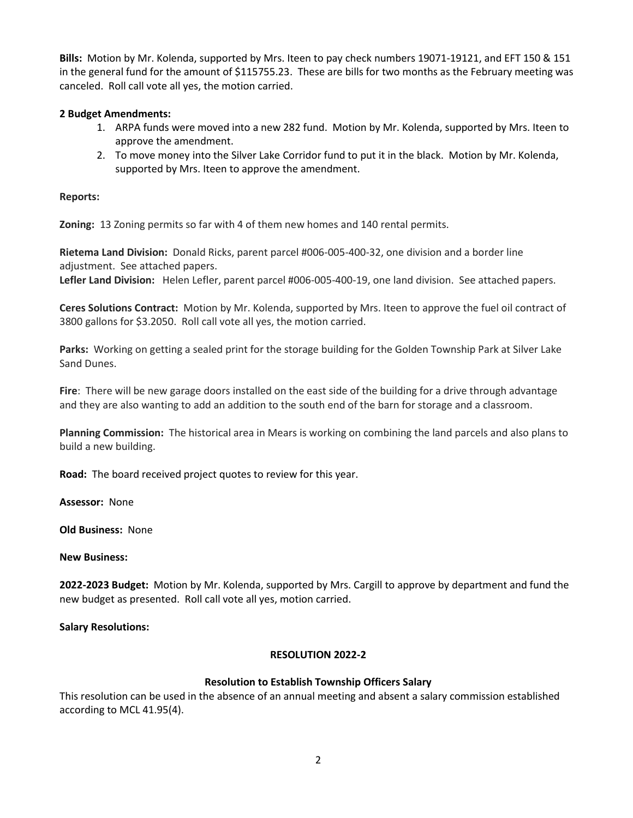**Bills:** Motion by Mr. Kolenda, supported by Mrs. Iteen to pay check numbers 19071-19121, and EFT 150 & 151 in the general fund for the amount of \$115755.23. These are bills for two months as the February meeting was canceled. Roll call vote all yes, the motion carried.

## **2 Budget Amendments:**

- 1. ARPA funds were moved into a new 282 fund. Motion by Mr. Kolenda, supported by Mrs. Iteen to approve the amendment.
- 2. To move money into the Silver Lake Corridor fund to put it in the black. Motion by Mr. Kolenda, supported by Mrs. Iteen to approve the amendment.

#### **Reports:**

**Zoning:** 13 Zoning permits so far with 4 of them new homes and 140 rental permits.

**Rietema Land Division:** Donald Ricks, parent parcel #006-005-400-32, one division and a border line adjustment. See attached papers.

**Lefler Land Division:** Helen Lefler, parent parcel #006-005-400-19, one land division. See attached papers.

**Ceres Solutions Contract:** Motion by Mr. Kolenda, supported by Mrs. Iteen to approve the fuel oil contract of 3800 gallons for \$3.2050. Roll call vote all yes, the motion carried.

**Parks:** Working on getting a sealed print for the storage building for the Golden Township Park at Silver Lake Sand Dunes.

**Fire**: There will be new garage doors installed on the east side of the building for a drive through advantage and they are also wanting to add an addition to the south end of the barn for storage and a classroom.

**Planning Commission:** The historical area in Mears is working on combining the land parcels and also plans to build a new building.

**Road:** The board received project quotes to review for this year.

**Assessor:** None

**Old Business:** None

#### **New Business:**

**2022-2023 Budget:** Motion by Mr. Kolenda, supported by Mrs. Cargill to approve by department and fund the new budget as presented. Roll call vote all yes, motion carried.

### **Salary Resolutions:**

### **RESOLUTION 2022-2**

### **Resolution to Establish Township Officers Salary**

This resolution can be used in the absence of an annual meeting and absent a salary commission established according to MCL 41.95(4).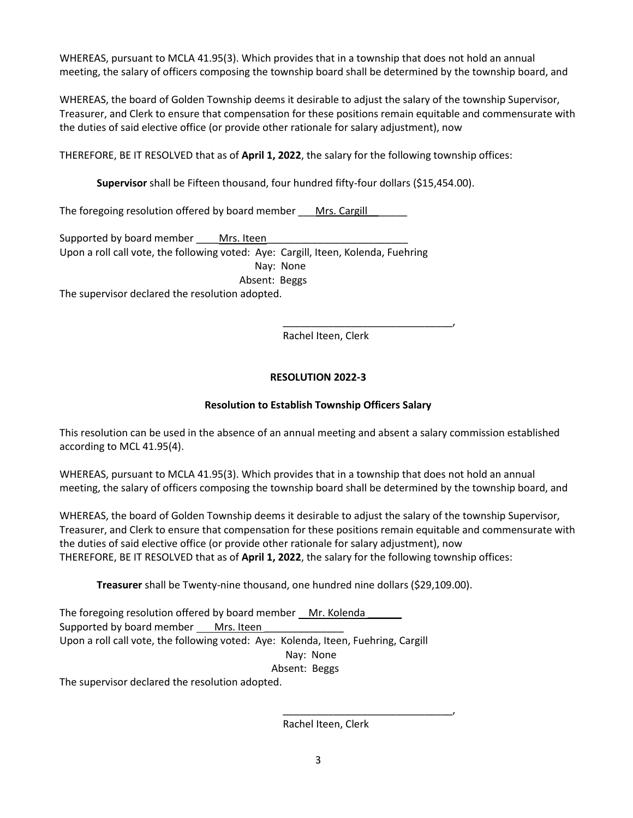WHEREAS, pursuant to MCLA 41.95(3). Which provides that in a township that does not hold an annual meeting, the salary of officers composing the township board shall be determined by the township board, and

WHEREAS, the board of Golden Township deems it desirable to adjust the salary of the township Supervisor, Treasurer, and Clerk to ensure that compensation for these positions remain equitable and commensurate with the duties of said elective office (or provide other rationale for salary adjustment), now

THEREFORE, BE IT RESOLVED that as of **April 1, 2022**, the salary for the following township offices:

**Supervisor** shall be Fifteen thousand, four hundred fifty-four dollars (\$15,454.00).

The foregoing resolution offered by board member Mrs. Cargill

Supported by board member \_\_\_\_\_ Mrs. Iteen Upon a roll call vote, the following voted: Aye: Cargill, Iteen, Kolenda, Fuehring Nay: None Absent: Beggs

The supervisor declared the resolution adopted.

\_\_\_\_\_\_\_\_\_\_\_\_\_\_\_\_\_\_\_\_\_\_\_\_\_\_\_\_\_\_, Rachel Iteen, Clerk

# **RESOLUTION 2022-3**

# **Resolution to Establish Township Officers Salary**

This resolution can be used in the absence of an annual meeting and absent a salary commission established according to MCL 41.95(4).

WHEREAS, pursuant to MCLA 41.95(3). Which provides that in a township that does not hold an annual meeting, the salary of officers composing the township board shall be determined by the township board, and

WHEREAS, the board of Golden Township deems it desirable to adjust the salary of the township Supervisor, Treasurer, and Clerk to ensure that compensation for these positions remain equitable and commensurate with the duties of said elective office (or provide other rationale for salary adjustment), now THEREFORE, BE IT RESOLVED that as of **April 1, 2022**, the salary for the following township offices:

**Treasurer** shall be Twenty-nine thousand, one hundred nine dollars (\$29,109.00).

The foregoing resolution offered by board member Mr. Kolenda Supported by board member Mrs. Iteen Upon a roll call vote, the following voted: Aye: Kolenda, Iteen, Fuehring, Cargill Nay: None Absent: Beggs The supervisor declared the resolution adopted.

Rachel Iteen, Clerk

\_\_\_\_\_\_\_\_\_\_\_\_\_\_\_\_\_\_\_\_\_\_\_\_\_\_\_\_\_\_,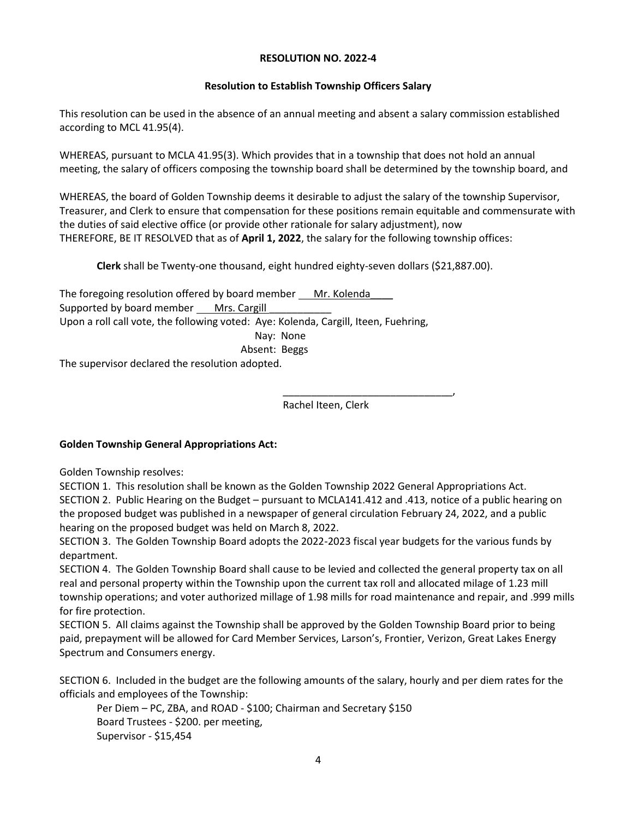### **RESOLUTION NO. 2022-4**

### **Resolution to Establish Township Officers Salary**

This resolution can be used in the absence of an annual meeting and absent a salary commission established according to MCL 41.95(4).

WHEREAS, pursuant to MCLA 41.95(3). Which provides that in a township that does not hold an annual meeting, the salary of officers composing the township board shall be determined by the township board, and

WHEREAS, the board of Golden Township deems it desirable to adjust the salary of the township Supervisor, Treasurer, and Clerk to ensure that compensation for these positions remain equitable and commensurate with the duties of said elective office (or provide other rationale for salary adjustment), now THEREFORE, BE IT RESOLVED that as of **April 1, 2022**, the salary for the following township offices:

**Clerk** shall be Twenty-one thousand, eight hundred eighty-seven dollars (\$21,887.00).

The foregoing resolution offered by board member Mr. Kolenda Supported by board member Mrs. Cargill Upon a roll call vote, the following voted: Aye: Kolenda, Cargill, Iteen, Fuehring, Nay: None Absent: Beggs The supervisor declared the resolution adopted.

> \_\_\_\_\_\_\_\_\_\_\_\_\_\_\_\_\_\_\_\_\_\_\_\_\_\_\_\_\_\_, Rachel Iteen, Clerk

### **Golden Township General Appropriations Act:**

Golden Township resolves:

SECTION 1. This resolution shall be known as the Golden Township 2022 General Appropriations Act. SECTION 2. Public Hearing on the Budget – pursuant to MCLA141.412 and .413, notice of a public hearing on the proposed budget was published in a newspaper of general circulation February 24, 2022, and a public hearing on the proposed budget was held on March 8, 2022.

SECTION 3. The Golden Township Board adopts the 2022-2023 fiscal year budgets for the various funds by department.

SECTION 4. The Golden Township Board shall cause to be levied and collected the general property tax on all real and personal property within the Township upon the current tax roll and allocated milage of 1.23 mill township operations; and voter authorized millage of 1.98 mills for road maintenance and repair, and .999 mills for fire protection.

SECTION 5. All claims against the Township shall be approved by the Golden Township Board prior to being paid, prepayment will be allowed for Card Member Services, Larson's, Frontier, Verizon, Great Lakes Energy Spectrum and Consumers energy.

SECTION 6. Included in the budget are the following amounts of the salary, hourly and per diem rates for the officials and employees of the Township:

Per Diem – PC, ZBA, and ROAD - \$100; Chairman and Secretary \$150 Board Trustees - \$200. per meeting, Supervisor - \$15,454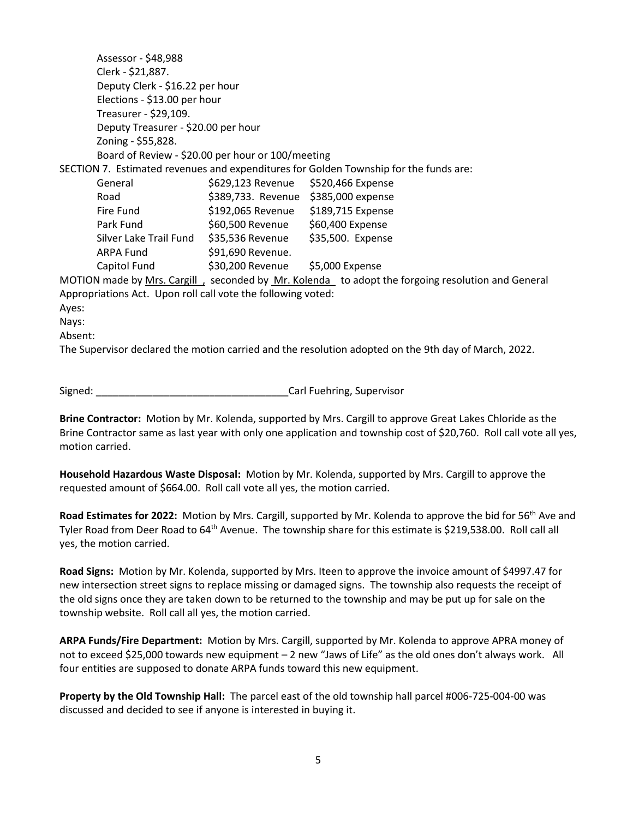|                                                                                                      | Assessor - \$48,988                                       |                                      |  |  |
|------------------------------------------------------------------------------------------------------|-----------------------------------------------------------|--------------------------------------|--|--|
|                                                                                                      | Clerk - \$21,887.                                         |                                      |  |  |
|                                                                                                      | Deputy Clerk - \$16.22 per hour                           |                                      |  |  |
|                                                                                                      | Elections - \$13.00 per hour                              |                                      |  |  |
|                                                                                                      | Treasurer - \$29,109.                                     |                                      |  |  |
|                                                                                                      | Deputy Treasurer - \$20.00 per hour                       |                                      |  |  |
|                                                                                                      | Zoning - \$55,828.                                        |                                      |  |  |
|                                                                                                      | Board of Review - \$20.00 per hour or 100/meeting         |                                      |  |  |
| SECTION 7. Estimated revenues and expenditures for Golden Township for the funds are:                |                                                           |                                      |  |  |
|                                                                                                      | General                                                   | \$629,123 Revenue \$520,466 Expense  |  |  |
|                                                                                                      | Road                                                      | \$389,733. Revenue \$385,000 expense |  |  |
|                                                                                                      | Fire Fund                                                 | \$192,065 Revenue \$189,715 Expense  |  |  |
|                                                                                                      | Park Fund                                                 | \$60,500 Revenue \$60,400 Expense    |  |  |
|                                                                                                      | Silver Lake Trail Fund \$35,536 Revenue \$35,500. Expense |                                      |  |  |
|                                                                                                      | <b>ARPA Fund</b>                                          | \$91,690 Revenue.                    |  |  |
|                                                                                                      | Capitol Fund                                              | \$30,200 Revenue \$5,000 Expense     |  |  |
| MOTION made by Mrs. Cargill, seconded by Mr. Kolenda to adopt the forgoing resolution and General    |                                                           |                                      |  |  |
| Appropriations Act. Upon roll call vote the following voted:                                         |                                                           |                                      |  |  |
| Ayes:                                                                                                |                                                           |                                      |  |  |
| Nays:                                                                                                |                                                           |                                      |  |  |
| Absent:                                                                                              |                                                           |                                      |  |  |
| The Supervisor declared the motion carried and the resolution adopted on the 9th day of March, 2022. |                                                           |                                      |  |  |
|                                                                                                      |                                                           |                                      |  |  |

Signed: \_\_\_\_\_\_\_\_\_\_\_\_\_\_\_\_\_\_\_\_\_\_\_\_\_\_\_\_\_\_\_\_\_\_Carl Fuehring, Supervisor

**Brine Contractor:** Motion by Mr. Kolenda, supported by Mrs. Cargill to approve Great Lakes Chloride as the Brine Contractor same as last year with only one application and township cost of \$20,760. Roll call vote all yes, motion carried.

**Household Hazardous Waste Disposal:** Motion by Mr. Kolenda, supported by Mrs. Cargill to approve the requested amount of \$664.00. Roll call vote all yes, the motion carried.

**Road Estimates for 2022:** Motion by Mrs. Cargill, supported by Mr. Kolenda to approve the bid for 56th Ave and Tyler Road from Deer Road to 64<sup>th</sup> Avenue. The township share for this estimate is \$219,538.00. Roll call all yes, the motion carried.

**Road Signs:** Motion by Mr. Kolenda, supported by Mrs. Iteen to approve the invoice amount of \$4997.47 for new intersection street signs to replace missing or damaged signs. The township also requests the receipt of the old signs once they are taken down to be returned to the township and may be put up for sale on the township website. Roll call all yes, the motion carried.

**ARPA Funds/Fire Department:** Motion by Mrs. Cargill, supported by Mr. Kolenda to approve APRA money of not to exceed \$25,000 towards new equipment – 2 new "Jaws of Life" as the old ones don't always work. All four entities are supposed to donate ARPA funds toward this new equipment.

**Property by the Old Township Hall:** The parcel east of the old township hall parcel #006-725-004-00 was discussed and decided to see if anyone is interested in buying it.